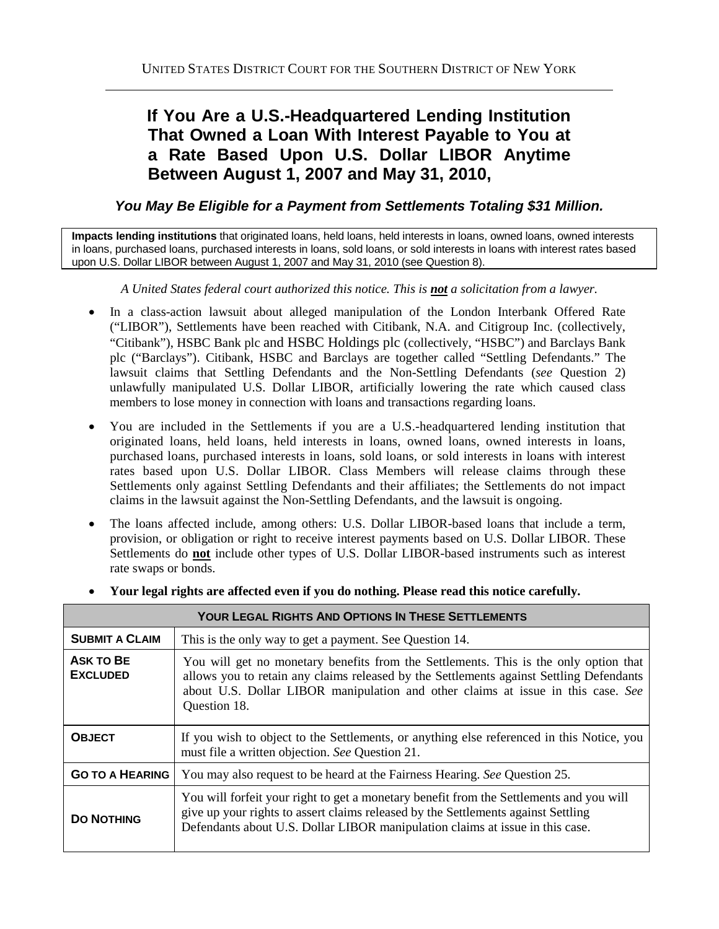# **If You Are a U.S.-Headquartered Lending Institution That Owned a Loan With Interest Payable to You at a Rate Based Upon U.S. Dollar LIBOR Anytime Between August 1, 2007 and May 31, 2010,**

## *You May Be Eligible for a Payment from Settlements Totaling \$31 Million.*

**Impacts lending institutions** that originated loans, held loans, held interests in loans, owned loans, owned interests in loans, purchased loans, purchased interests in loans, sold loans, or sold interests in loans with interest rates based upon U.S. Dollar LIBOR between August 1, 2007 and May 31, 2010 (see Question 8).

*A United States federal court authorized this notice. This is not a solicitation from a lawyer.*

- In a class-action lawsuit about alleged manipulation of the London Interbank Offered Rate ("LIBOR"), Settlements have been reached with Citibank, N.A. and Citigroup Inc. (collectively, "Citibank"), HSBC Bank plc and HSBC Holdings plc (collectively, "HSBC") and Barclays Bank plc ("Barclays"). Citibank, HSBC and Barclays are together called "Settling Defendants." The lawsuit claims that Settling Defendants and the Non-Settling Defendants (*see* Question 2) unlawfully manipulated U.S. Dollar LIBOR, artificially lowering the rate which caused class members to lose money in connection with loans and transactions regarding loans.
- You are included in the Settlements if you are a U.S.-headquartered lending institution that originated loans, held loans, held interests in loans, owned loans, owned interests in loans, purchased loans, purchased interests in loans, sold loans, or sold interests in loans with interest rates based upon U.S. Dollar LIBOR. Class Members will release claims through these Settlements only against Settling Defendants and their affiliates; the Settlements do not impact claims in the lawsuit against the Non-Settling Defendants, and the lawsuit is ongoing.
- The loans affected include, among others: U.S. Dollar LIBOR-based loans that include a term, provision, or obligation or right to receive interest payments based on U.S. Dollar LIBOR. These Settlements do **not** include other types of U.S. Dollar LIBOR-based instruments such as interest rate swaps or bonds.

| <b>YOUR LEGAL RIGHTS AND OPTIONS IN THESE SETTLEMENTS</b> |                                                                                                                                                                                                                                                                                     |  |  |
|-----------------------------------------------------------|-------------------------------------------------------------------------------------------------------------------------------------------------------------------------------------------------------------------------------------------------------------------------------------|--|--|
| <b>SUBMIT A CLAIM</b>                                     | This is the only way to get a payment. See Question 14.                                                                                                                                                                                                                             |  |  |
| <b>ASK TO BE</b><br><b>EXCLUDED</b>                       | You will get no monetary benefits from the Settlements. This is the only option that<br>allows you to retain any claims released by the Settlements against Settling Defendants<br>about U.S. Dollar LIBOR manipulation and other claims at issue in this case. See<br>Question 18. |  |  |
| <b>OBJECT</b>                                             | If you wish to object to the Settlements, or anything else referenced in this Notice, you<br>must file a written objection. See Question 21.                                                                                                                                        |  |  |
| <b>GO TO A HEARING</b>                                    | You may also request to be heard at the Fairness Hearing. See Question 25.                                                                                                                                                                                                          |  |  |
| <b>DO NOTHING</b>                                         | You will forfeit your right to get a monetary benefit from the Settlements and you will<br>give up your rights to assert claims released by the Settlements against Settling<br>Defendants about U.S. Dollar LIBOR manipulation claims at issue in this case.                       |  |  |

• **Your legal rights are affected even if you do nothing. Please read this notice carefully.**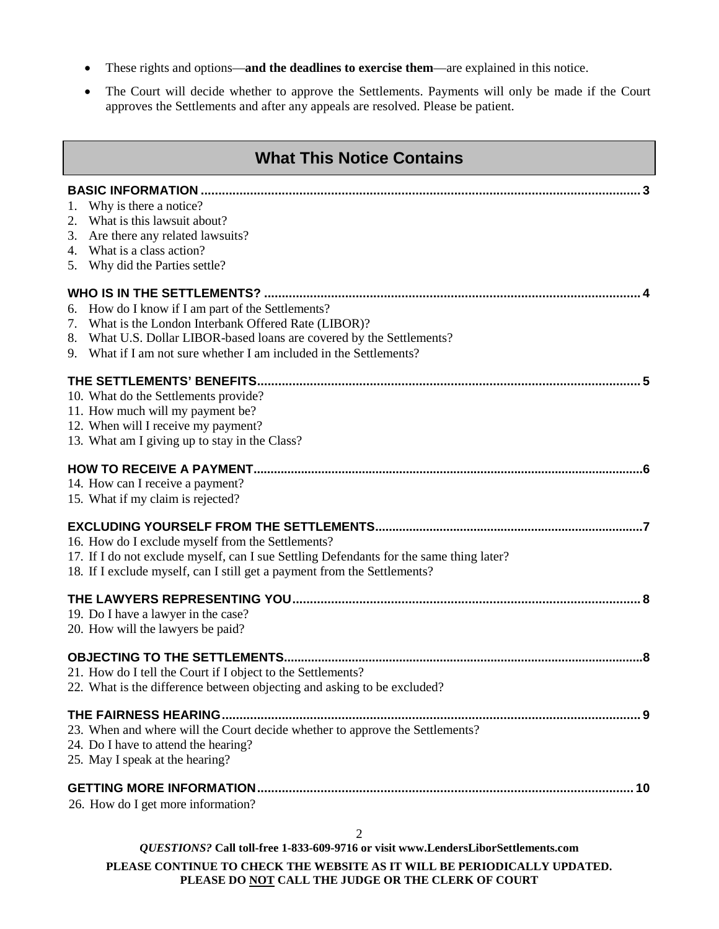- These rights and options—**and the deadlines to exercise them**—are explained in this notice.
- The Court will decide whether to approve the Settlements. Payments will only be made if the Court approves the Settlements and after any appeals are resolved. Please be patient.

| <b>What This Notice Contains</b>                                                                                                                                                                                                                                      |  |  |  |
|-----------------------------------------------------------------------------------------------------------------------------------------------------------------------------------------------------------------------------------------------------------------------|--|--|--|
| Why is there a notice?<br>1.<br>What is this lawsuit about?<br>2.<br>3.<br>Are there any related lawsuits?<br>What is a class action?<br>4.<br>Why did the Parties settle?<br>5.                                                                                      |  |  |  |
| How do I know if I am part of the Settlements?<br>6.<br>What is the London Interbank Offered Rate (LIBOR)?<br>7.<br>What U.S. Dollar LIBOR-based loans are covered by the Settlements?<br>8.<br>What if I am not sure whether I am included in the Settlements?<br>9. |  |  |  |
| 10. What do the Settlements provide?<br>11. How much will my payment be?<br>12. When will I receive my payment?<br>13. What am I giving up to stay in the Class?                                                                                                      |  |  |  |
| 14. How can I receive a payment?<br>15. What if my claim is rejected?                                                                                                                                                                                                 |  |  |  |
| 16. How do I exclude myself from the Settlements?<br>17. If I do not exclude myself, can I sue Settling Defendants for the same thing later?<br>18. If I exclude myself, can I still get a payment from the Settlements?                                              |  |  |  |
| 19. Do I have a lawyer in the case?<br>20. How will the lawyers be paid?                                                                                                                                                                                              |  |  |  |
| 21. How do I tell the Court if I object to the Settlements?<br>22. What is the difference between objecting and asking to be excluded?                                                                                                                                |  |  |  |
| 23. When and where will the Court decide whether to approve the Settlements?<br>24. Do I have to attend the hearing?<br>25. May I speak at the hearing?                                                                                                               |  |  |  |
| 26. How do I get more information?                                                                                                                                                                                                                                    |  |  |  |
| 2<br>QUESTIONS? Call toll-free 1-833-609-9716 or visit www.LendersLiborSettlements.com                                                                                                                                                                                |  |  |  |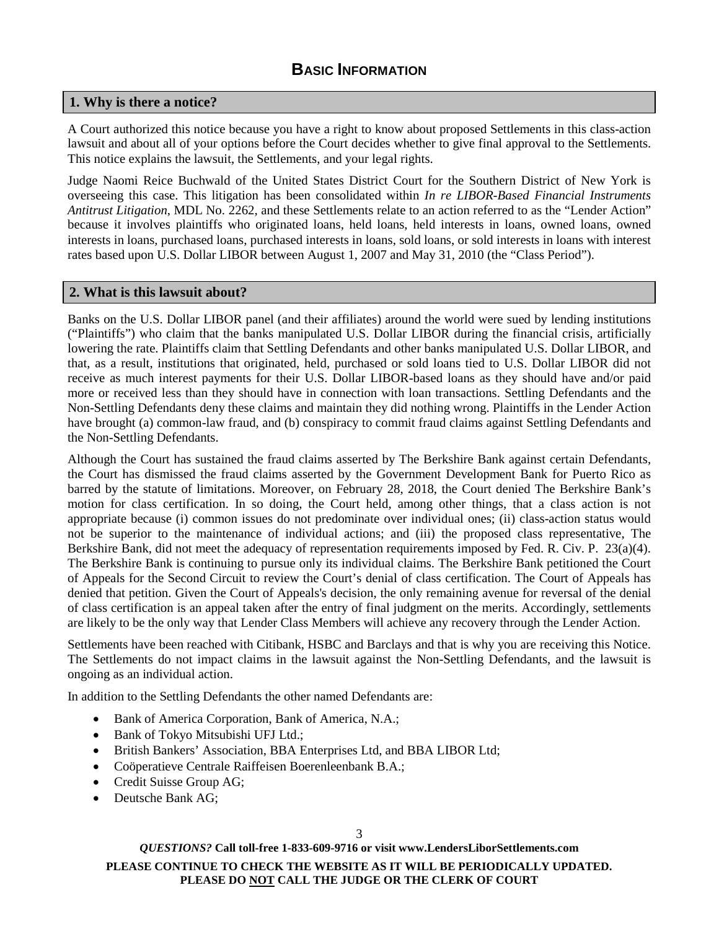## **1. Why is there a notice?**

A Court authorized this notice because you have a right to know about proposed Settlements in this class-action lawsuit and about all of your options before the Court decides whether to give final approval to the Settlements. This notice explains the lawsuit, the Settlements, and your legal rights.

Judge Naomi Reice Buchwald of the United States District Court for the Southern District of New York is overseeing this case. This litigation has been consolidated within *In re LIBOR-Based Financial Instruments Antitrust Litigation*, MDL No. 2262, and these Settlements relate to an action referred to as the "Lender Action" because it involves plaintiffs who originated loans, held loans, held interests in loans, owned loans, owned interests in loans, purchased loans, purchased interests in loans, sold loans, or sold interests in loans with interest rates based upon U.S. Dollar LIBOR between August 1, 2007 and May 31, 2010 (the "Class Period").

## **2. What is this lawsuit about?**

Banks on the U.S. Dollar LIBOR panel (and their affiliates) around the world were sued by lending institutions ("Plaintiffs") who claim that the banks manipulated U.S. Dollar LIBOR during the financial crisis, artificially lowering the rate. Plaintiffs claim that Settling Defendants and other banks manipulated U.S. Dollar LIBOR, and that, as a result, institutions that originated, held, purchased or sold loans tied to U.S. Dollar LIBOR did not receive as much interest payments for their U.S. Dollar LIBOR-based loans as they should have and/or paid more or received less than they should have in connection with loan transactions. Settling Defendants and the Non-Settling Defendants deny these claims and maintain they did nothing wrong. Plaintiffs in the Lender Action have brought (a) common-law fraud, and (b) conspiracy to commit fraud claims against Settling Defendants and the Non-Settling Defendants.

Although the Court has sustained the fraud claims asserted by The Berkshire Bank against certain Defendants, the Court has dismissed the fraud claims asserted by the Government Development Bank for Puerto Rico as barred by the statute of limitations. Moreover, on February 28, 2018, the Court denied The Berkshire Bank's motion for class certification. In so doing, the Court held, among other things, that a class action is not appropriate because (i) common issues do not predominate over individual ones; (ii) class-action status would not be superior to the maintenance of individual actions; and (iii) the proposed class representative, The Berkshire Bank, did not meet the adequacy of representation requirements imposed by Fed. R. Civ. P. 23(a)(4). The Berkshire Bank is continuing to pursue only its individual claims. The Berkshire Bank petitioned the Court of Appeals for the Second Circuit to review the Court's denial of class certification. The Court of Appeals has denied that petition. Given the Court of Appeals's decision, the only remaining avenue for reversal of the denial of class certification is an appeal taken after the entry of final judgment on the merits. Accordingly, settlements are likely to be the only way that Lender Class Members will achieve any recovery through the Lender Action.

Settlements have been reached with Citibank, HSBC and Barclays and that is why you are receiving this Notice. The Settlements do not impact claims in the lawsuit against the Non-Settling Defendants, and the lawsuit is ongoing as an individual action.

In addition to the Settling Defendants the other named Defendants are:

- Bank of America Corporation, Bank of America, N.A.;
- Bank of Tokyo Mitsubishi UFJ Ltd.;
- British Bankers' Association, BBA Enterprises Ltd, and BBA LIBOR Ltd;
- Coöperatieve Centrale Raiffeisen Boerenleenbank B.A.;
- Credit Suisse Group AG;
- Deutsche Bank AG;

#### *QUESTIONS?* **Call toll-free 1-833-609-9716 or visit www.LendersLiborSettlements.com**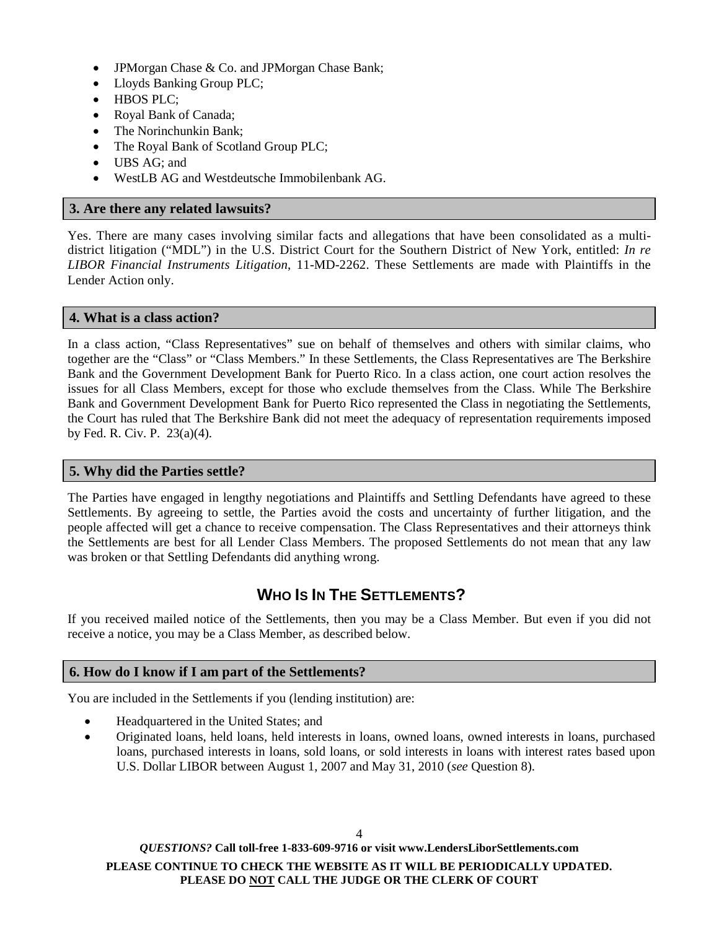- JPMorgan Chase & Co. and JPMorgan Chase Bank;
- Lloyds Banking Group PLC;
- HBOS PLC:
- Royal Bank of Canada;
- The Norinchunkin Bank;
- The Royal Bank of Scotland Group PLC;
- UBS AG; and
- WestLB AG and Westdeutsche Immobilenbank AG

## **3. Are there any related lawsuits?**

Yes. There are many cases involving similar facts and allegations that have been consolidated as a multidistrict litigation ("MDL") in the U.S. District Court for the Southern District of New York, entitled: *In re LIBOR Financial Instruments Litigation*, 11-MD-2262. These Settlements are made with Plaintiffs in the Lender Action only.

#### **4. What is a class action?**

In a class action, "Class Representatives" sue on behalf of themselves and others with similar claims, who together are the "Class" or "Class Members." In these Settlements, the Class Representatives are The Berkshire Bank and the Government Development Bank for Puerto Rico. In a class action, one court action resolves the issues for all Class Members, except for those who exclude themselves from the Class. While The Berkshire Bank and Government Development Bank for Puerto Rico represented the Class in negotiating the Settlements, the Court has ruled that The Berkshire Bank did not meet the adequacy of representation requirements imposed by Fed. R. Civ. P. 23(a)(4).

#### **5. Why did the Parties settle?**

The Parties have engaged in lengthy negotiations and Plaintiffs and Settling Defendants have agreed to these Settlements. By agreeing to settle, the Parties avoid the costs and uncertainty of further litigation, and the people affected will get a chance to receive compensation. The Class Representatives and their attorneys think the Settlements are best for all Lender Class Members. The proposed Settlements do not mean that any law was broken or that Settling Defendants did anything wrong.

# **WHO IS IN THE SETTLEMENTS?**

If you received mailed notice of the Settlements, then you may be a Class Member. But even if you did not receive a notice, you may be a Class Member, as described below.

## **6. How do I know if I am part of the Settlements?**

You are included in the Settlements if you (lending institution) are:

- Headquartered in the United States; and
- Originated loans, held loans, held interests in loans, owned loans, owned interests in loans, purchased loans, purchased interests in loans, sold loans, or sold interests in loans with interest rates based upon U.S. Dollar LIBOR between August 1, 2007 and May 31, 2010 (*see* Question 8).

## *QUESTIONS?* **Call toll-free 1-833-609-9716 or visit www.LendersLiborSettlements.com**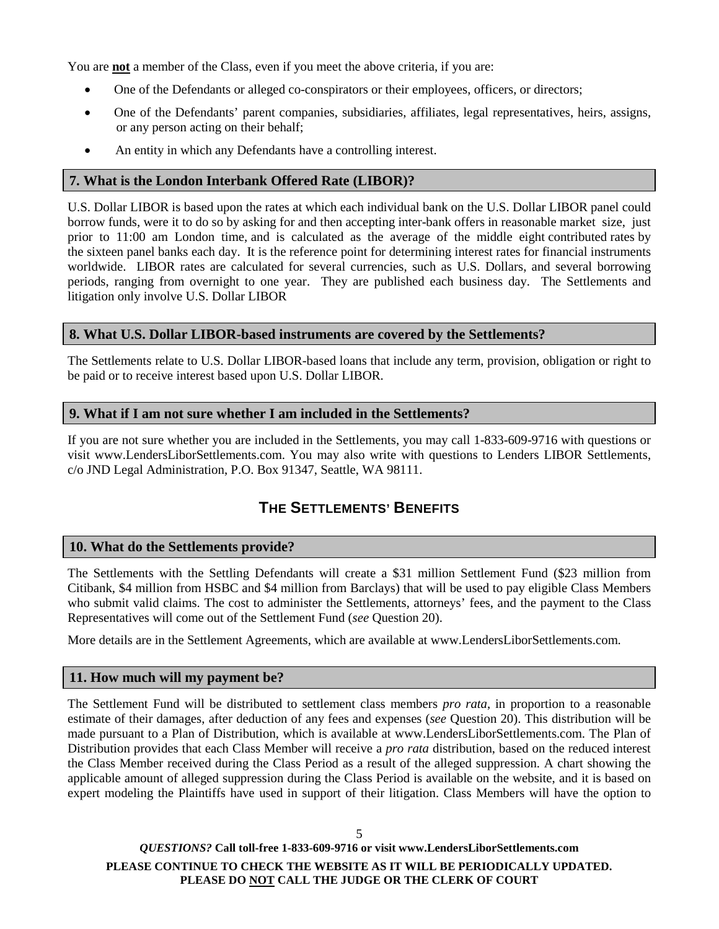You are **not** a member of the Class, even if you meet the above criteria, if you are:

- One of the Defendants or alleged co-conspirators or their employees, officers, or directors;
- One of the Defendants' parent companies, subsidiaries, affiliates, legal representatives, heirs, assigns, or any person acting on their behalf;
- An entity in which any Defendants have a controlling interest.

#### **7. What is the London Interbank Offered Rate (LIBOR)?**

U.S. Dollar LIBOR is based upon the rates at which each individual bank on the U.S. Dollar LIBOR panel could borrow funds, were it to do so by asking for and then accepting inter-bank offers in reasonable market size, just prior to 11:00 am London time, and is calculated as the average of the middle eight contributed rates by the sixteen panel banks each day. It is the reference point for determining interest rates for financial instruments worldwide. LIBOR rates are calculated for several currencies, such as U.S. Dollars, and several borrowing periods, ranging from overnight to one year. They are published each business day. The Settlements and litigation only involve U.S. Dollar LIBOR

## **8. What U.S. Dollar LIBOR-based instruments are covered by the Settlements?**

The Settlements relate to U.S. Dollar LIBOR-based loans that include any term, provision, obligation or right to be paid or to receive interest based upon U.S. Dollar LIBOR.

## **9. What if I am not sure whether I am included in the Settlements?**

If you are not sure whether you are included in the Settlements, you may call 1-833-609-9716 with questions or visit www.LendersLiborSettlements.com. You may also write with questions to Lenders LIBOR Settlements, c/o JND Legal Administration, P.O. Box 91347, Seattle, WA 98111.

# **THE SETTLEMENTS' BENEFITS**

## **10. What do the Settlements provide?**

The Settlements with the Settling Defendants will create a \$31 million Settlement Fund (\$23 million from Citibank, \$4 million from HSBC and \$4 million from Barclays) that will be used to pay eligible Class Members who submit valid claims. The cost to administer the Settlements, attorneys' fees, and the payment to the Class Representatives will come out of the Settlement Fund (*see* Question 20).

More details are in the Settlement Agreements, which are available at www.LendersLiborSettlements.com.

## **11. How much will my payment be?**

The Settlement Fund will be distributed to settlement class members *pro rata*, in proportion to a reasonable estimate of their damages, after deduction of any fees and expenses (*see* Question 20). This distribution will be made pursuant to a Plan of Distribution, which is available at www.LendersLiborSettlements.com. The Plan of Distribution provides that each Class Member will receive a *pro rata* distribution, based on the reduced interest the Class Member received during the Class Period as a result of the alleged suppression. A chart showing the applicable amount of alleged suppression during the Class Period is available on the website, and it is based on expert modeling the Plaintiffs have used in support of their litigation. Class Members will have the option to

## *QUESTIONS?* **Call toll-free 1-833-609-9716 or visit www.LendersLiborSettlements.com**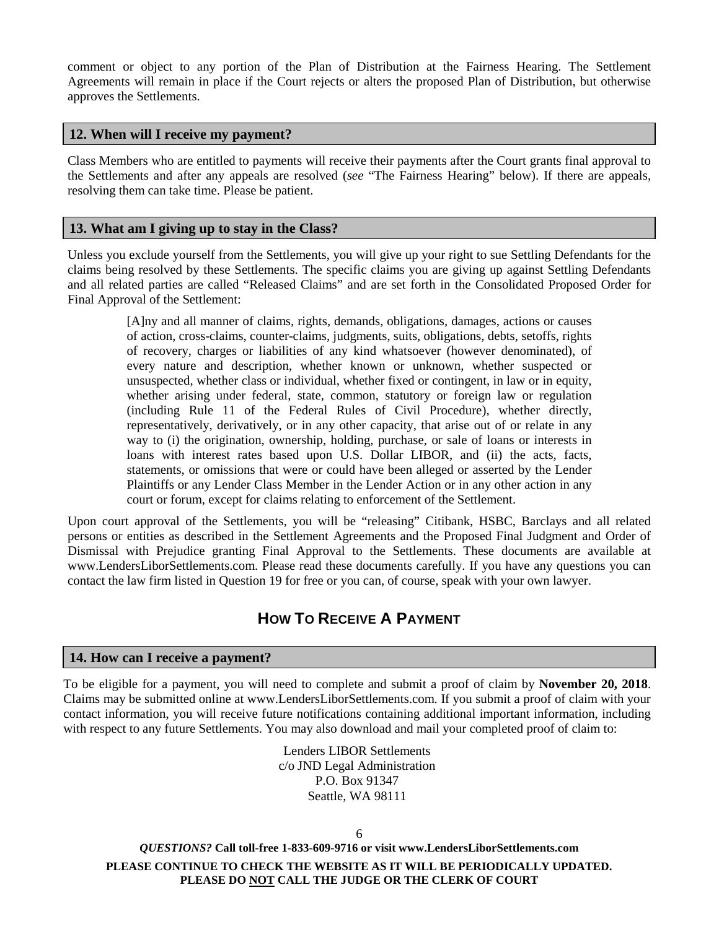comment or object to any portion of the Plan of Distribution at the Fairness Hearing. The Settlement Agreements will remain in place if the Court rejects or alters the proposed Plan of Distribution, but otherwise approves the Settlements.

#### **12. When will I receive my payment?**

Class Members who are entitled to payments will receive their payments after the Court grants final approval to the Settlements and after any appeals are resolved (*see* "The Fairness Hearing" below). If there are appeals, resolving them can take time. Please be patient.

## **13. What am I giving up to stay in the Class?**

Unless you exclude yourself from the Settlements, you will give up your right to sue Settling Defendants for the claims being resolved by these Settlements. The specific claims you are giving up against Settling Defendants and all related parties are called "Released Claims" and are set forth in the Consolidated Proposed Order for Final Approval of the Settlement:

> [A]ny and all manner of claims, rights, demands, obligations, damages, actions or causes of action, cross-claims, counter-claims, judgments, suits, obligations, debts, setoffs, rights of recovery, charges or liabilities of any kind whatsoever (however denominated), of every nature and description, whether known or unknown, whether suspected or unsuspected, whether class or individual, whether fixed or contingent, in law or in equity, whether arising under federal, state, common, statutory or foreign law or regulation (including Rule 11 of the Federal Rules of Civil Procedure), whether directly, representatively, derivatively, or in any other capacity, that arise out of or relate in any way to (i) the origination, ownership, holding, purchase, or sale of loans or interests in loans with interest rates based upon U.S. Dollar LIBOR, and (ii) the acts, facts, statements, or omissions that were or could have been alleged or asserted by the Lender Plaintiffs or any Lender Class Member in the Lender Action or in any other action in any court or forum, except for claims relating to enforcement of the Settlement.

Upon court approval of the Settlements, you will be "releasing" Citibank, HSBC, Barclays and all related persons or entities as described in the Settlement Agreements and the Proposed Final Judgment and Order of Dismissal with Prejudice granting Final Approval to the Settlements. These documents are available at www.LendersLiborSettlements.com. Please read these documents carefully. If you have any questions you can contact the law firm listed in Question 19 for free or you can, of course, speak with your own lawyer.

# **HOW TO RECEIVE A PAYMENT**

## **14. How can I receive a payment?**

To be eligible for a payment, you will need to complete and submit a proof of claim by **November 20, 2018**. Claims may be submitted online at www.LendersLiborSettlements.com. If you submit a proof of claim with your contact information, you will receive future notifications containing additional important information, including with respect to any future Settlements. You may also download and mail your completed proof of claim to:

> Lenders LIBOR Settlements c/o JND Legal Administration P.O. Box 91347 Seattle, WA 98111

*QUESTIONS?* **Call toll-free 1-833-609-9716 or visit www.LendersLiborSettlements.com PLEASE CONTINUE TO CHECK THE WEBSITE AS IT WILL BE PERIODICALLY UPDATED. PLEASE DO NOT CALL THE JUDGE OR THE CLERK OF COURT**

6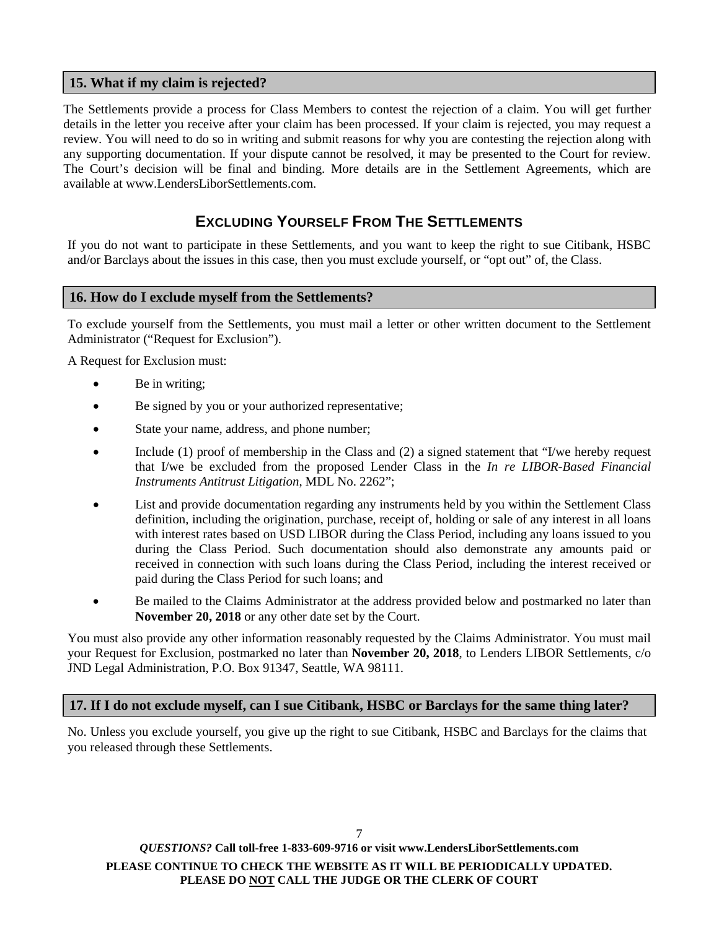#### **15. What if my claim is rejected?**

The Settlements provide a process for Class Members to contest the rejection of a claim. You will get further details in the letter you receive after your claim has been processed. If your claim is rejected, you may request a review. You will need to do so in writing and submit reasons for why you are contesting the rejection along with any supporting documentation. If your dispute cannot be resolved, it may be presented to the Court for review. The Court's decision will be final and binding. More details are in the Settlement Agreements, which are available at www.LendersLiborSettlements.com.

# **EXCLUDING YOURSELF FROM THE SETTLEMENTS**

If you do not want to participate in these Settlements, and you want to keep the right to sue Citibank, HSBC and/or Barclays about the issues in this case, then you must exclude yourself, or "opt out" of, the Class.

## **16. How do I exclude myself from the Settlements?**

To exclude yourself from the Settlements, you must mail a letter or other written document to the Settlement Administrator ("Request for Exclusion").

A Request for Exclusion must:

- Be in writing:
- Be signed by you or your authorized representative;
- State your name, address, and phone number;
- Include (1) proof of membership in the Class and (2) a signed statement that "I/we hereby request that I/we be excluded from the proposed Lender Class in the *In re LIBOR-Based Financial Instruments Antitrust Litigation*, MDL No. 2262";
- List and provide documentation regarding any instruments held by you within the Settlement Class definition, including the origination, purchase, receipt of, holding or sale of any interest in all loans with interest rates based on USD LIBOR during the Class Period, including any loans issued to you during the Class Period. Such documentation should also demonstrate any amounts paid or received in connection with such loans during the Class Period, including the interest received or paid during the Class Period for such loans; and
- Be mailed to the Claims Administrator at the address provided below and postmarked no later than **November 20, 2018** or any other date set by the Court.

You must also provide any other information reasonably requested by the Claims Administrator. You must mail your Request for Exclusion, postmarked no later than **November 20, 2018**, to Lenders LIBOR Settlements, c/o JND Legal Administration, P.O. Box 91347, Seattle, WA 98111.

## **17. If I do not exclude myself, can I sue Citibank, HSBC or Barclays for the same thing later?**

No. Unless you exclude yourself, you give up the right to sue Citibank, HSBC and Barclays for the claims that you released through these Settlements.

*QUESTIONS?* **Call toll-free 1-833-609-9716 or visit www.LendersLiborSettlements.com PLEASE CONTINUE TO CHECK THE WEBSITE AS IT WILL BE PERIODICALLY UPDATED. PLEASE DO NOT CALL THE JUDGE OR THE CLERK OF COURT**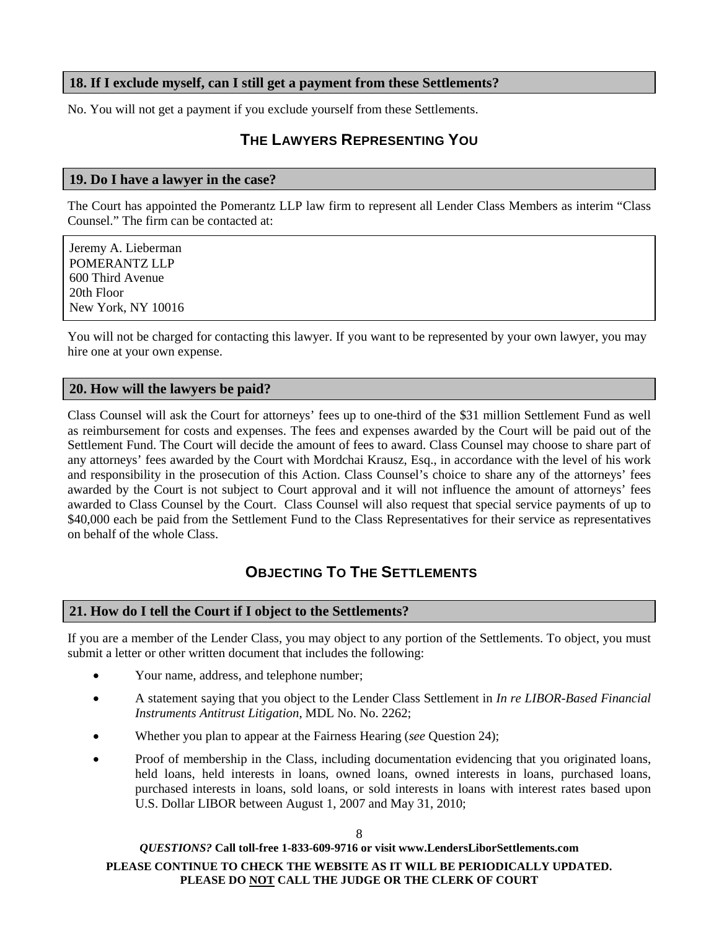## **18. If I exclude myself, can I still get a payment from these Settlements?**

No. You will not get a payment if you exclude yourself from these Settlements.

# **THE LAWYERS REPRESENTING YOU**

#### **19. Do I have a lawyer in the case?**

The Court has appointed the Pomerantz LLP law firm to represent all Lender Class Members as interim "Class Counsel." The firm can be contacted at:

Jeremy A. Lieberman POMERANTZ LLP 600 Third Avenue 20th Floor New York, NY 10016

You will not be charged for contacting this lawyer. If you want to be represented by your own lawyer, you may hire one at your own expense.

#### **20. How will the lawyers be paid?**

Class Counsel will ask the Court for attorneys' fees up to one-third of the \$31 million Settlement Fund as well as reimbursement for costs and expenses. The fees and expenses awarded by the Court will be paid out of the Settlement Fund. The Court will decide the amount of fees to award. Class Counsel may choose to share part of any attorneys' fees awarded by the Court with Mordchai Krausz, Esq., in accordance with the level of his work and responsibility in the prosecution of this Action. Class Counsel's choice to share any of the attorneys' fees awarded by the Court is not subject to Court approval and it will not influence the amount of attorneys' fees awarded to Class Counsel by the Court. Class Counsel will also request that special service payments of up to \$40,000 each be paid from the Settlement Fund to the Class Representatives for their service as representatives on behalf of the whole Class.

# **OBJECTING TO THE SETTLEMENTS**

#### **21. How do I tell the Court if I object to the Settlements?**

If you are a member of the Lender Class, you may object to any portion of the Settlements. To object, you must submit a letter or other written document that includes the following:

- Your name, address, and telephone number;
- A statement saying that you object to the Lender Class Settlement in *In re LIBOR-Based Financial Instruments Antitrust Litigation*, MDL No. No. 2262;
- Whether you plan to appear at the Fairness Hearing (*see* Question 24);
- Proof of membership in the Class, including documentation evidencing that you originated loans, held loans, held interests in loans, owned loans, owned interests in loans, purchased loans, purchased interests in loans, sold loans, or sold interests in loans with interest rates based upon U.S. Dollar LIBOR between August 1, 2007 and May 31, 2010;

#### *QUESTIONS?* **Call toll-free 1-833-609-9716 or visit www.LendersLiborSettlements.com**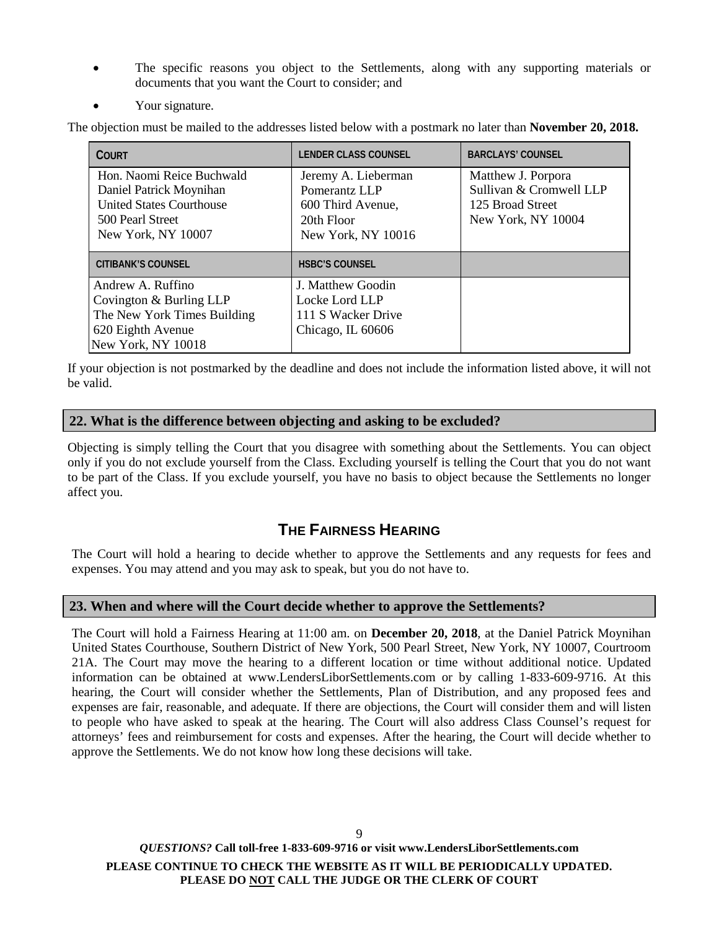- The specific reasons you object to the Settlements, along with any supporting materials or documents that you want the Court to consider; and
- Your signature.

The objection must be mailed to the addresses listed below with a postmark no later than **November 20, 2018.**

| <b>COURT</b>                                                                                                                      | <b>LENDER CLASS COUNSEL</b>                                                                   | <b>BARCLAYS' COUNSEL</b>                                                                |
|-----------------------------------------------------------------------------------------------------------------------------------|-----------------------------------------------------------------------------------------------|-----------------------------------------------------------------------------------------|
| Hon. Naomi Reice Buchwald<br>Daniel Patrick Moynihan<br><b>United States Courthouse</b><br>500 Pearl Street<br>New York, NY 10007 | Jeremy A. Lieberman<br>Pomerantz LLP<br>600 Third Avenue,<br>20th Floor<br>New York, NY 10016 | Matthew J. Porpora<br>Sullivan & Cromwell LLP<br>125 Broad Street<br>New York, NY 10004 |
| <b>CITIBANK'S COUNSEL</b>                                                                                                         | <b>HSBC'S COUNSEL</b>                                                                         |                                                                                         |
| Andrew A. Ruffino                                                                                                                 | J. Matthew Goodin                                                                             |                                                                                         |
| Covington & Burling LLP                                                                                                           | Locke Lord LLP                                                                                |                                                                                         |
| The New York Times Building                                                                                                       | 111 S Wacker Drive                                                                            |                                                                                         |
| 620 Eighth Avenue                                                                                                                 | Chicago, IL 60606                                                                             |                                                                                         |
| New York, NY 10018                                                                                                                |                                                                                               |                                                                                         |

If your objection is not postmarked by the deadline and does not include the information listed above, it will not be valid.

## **22. What is the difference between objecting and asking to be excluded?**

Objecting is simply telling the Court that you disagree with something about the Settlements. You can object only if you do not exclude yourself from the Class. Excluding yourself is telling the Court that you do not want to be part of the Class. If you exclude yourself, you have no basis to object because the Settlements no longer affect you.

# **THE FAIRNESS HEARING**

The Court will hold a hearing to decide whether to approve the Settlements and any requests for fees and expenses. You may attend and you may ask to speak, but you do not have to.

#### **23. When and where will the Court decide whether to approve the Settlements?**

The Court will hold a Fairness Hearing at 11:00 am. on **December 20, 2018**, at the Daniel Patrick Moynihan United States Courthouse, Southern District of New York, 500 Pearl Street, New York, NY 10007, Courtroom 21A. The Court may move the hearing to a different location or time without additional notice. Updated information can be obtained at www.LendersLiborSettlements.com or by calling 1-833-609-9716. At this hearing, the Court will consider whether the Settlements, Plan of Distribution, and any proposed fees and expenses are fair, reasonable, and adequate. If there are objections, the Court will consider them and will listen to people who have asked to speak at the hearing. The Court will also address Class Counsel's request for attorneys' fees and reimbursement for costs and expenses. After the hearing, the Court will decide whether to approve the Settlements. We do not know how long these decisions will take.

*QUESTIONS?* **Call toll-free 1-833-609-9716 or visit www.LendersLiborSettlements.com PLEASE CONTINUE TO CHECK THE WEBSITE AS IT WILL BE PERIODICALLY UPDATED. PLEASE DO NOT CALL THE JUDGE OR THE CLERK OF COURT**